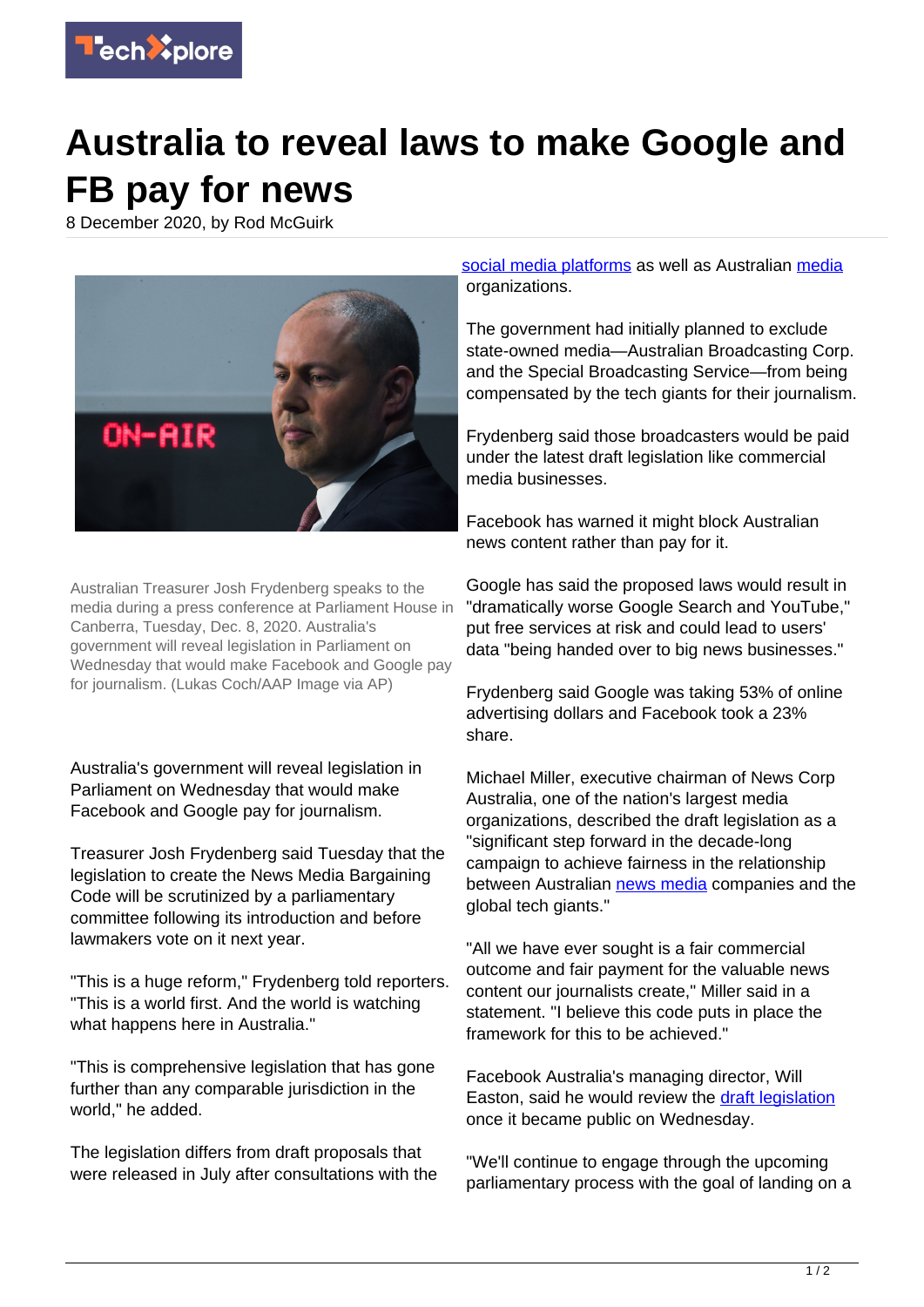

## **Australia to reveal laws to make Google and FB pay for news**

8 December 2020, by Rod McGuirk



Australian Treasurer Josh Frydenberg speaks to the media during a press conference at Parliament House in Canberra, Tuesday, Dec. 8, 2020. Australia's government will reveal legislation in Parliament on Wednesday that would make Facebook and Google pay for journalism. (Lukas Coch/AAP Image via AP)

Australia's government will reveal legislation in Parliament on Wednesday that would make Facebook and Google pay for journalism.

Treasurer Josh Frydenberg said Tuesday that the legislation to create the News Media Bargaining Code will be scrutinized by a parliamentary committee following its introduction and before lawmakers vote on it next year.

"This is a huge reform," Frydenberg told reporters. "This is a world first. And the world is watching what happens here in Australia."

"This is comprehensive legislation that has gone further than any comparable jurisdiction in the world," he added.

The legislation differs from draft proposals that were released in July after consultations with the [social media platforms](https://techxplore.com/tags/social+media+platforms/) as well as Australian [media](https://techxplore.com/tags/media/) organizations.

The government had initially planned to exclude state-owned media—Australian Broadcasting Corp. and the Special Broadcasting Service—from being compensated by the tech giants for their journalism.

Frydenberg said those broadcasters would be paid under the latest draft legislation like commercial media businesses.

Facebook has warned it might block Australian news content rather than pay for it.

Google has said the proposed laws would result in "dramatically worse Google Search and YouTube," put free services at risk and could lead to users' data "being handed over to big news businesses."

Frydenberg said Google was taking 53% of online advertising dollars and Facebook took a 23% share.

Michael Miller, executive chairman of News Corp Australia, one of the nation's largest media organizations, described the draft legislation as a "significant step forward in the decade-long campaign to achieve fairness in the relationship between Australian [news media](https://techxplore.com/tags/news+media/) companies and the global tech giants."

"All we have ever sought is a fair commercial outcome and fair payment for the valuable news content our journalists create," Miller said in a statement. "I believe this code puts in place the framework for this to be achieved."

Facebook Australia's managing director, Will Easton, said he would review the [draft legislation](https://techxplore.com/tags/draft+legislation/) once it became public on Wednesday.

"We'll continue to engage through the upcoming parliamentary process with the goal of landing on a